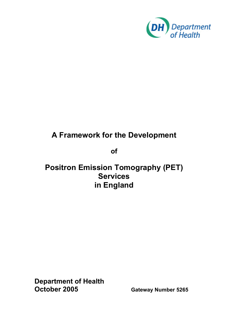

# **A Framework for the Development**

**of** 

## **Positron Emission Tomography (PET) Services in England**

**Department of Health October 2005** Gateway Number 5265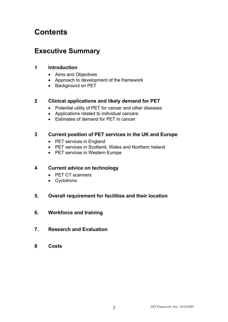# **Contents**

## **Executive Summary**

#### **1 Introduction**

- Aims and Objectives
- Approach to development of the framework
- Background on PET

#### **2 Clinical applications and likely demand for PET**

- Potential utility of PET for cancer and other diseases
- Applications related to individual cancers
- Estimates of demand for PET in cancer

#### **3 Current position of PET services in the UK and Europe**

- PET services in England
- PET services in Scotland, Wales and Northern Ireland
- PET services in Western Europe

#### **4 Current advice on technology**

- PET CT scanners
- Cyclotrons

#### **5. Overall requirement for facilities and their location**

- **6. Workforce and training**
- **7. Research and Evaluation**
- **8 Costs**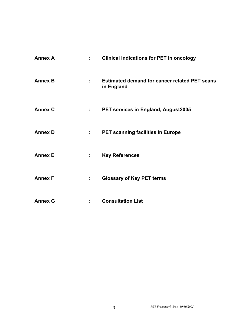| <b>Annex A</b> | $\mathbf{1}$     | <b>Clinical indications for PET in oncology</b>                    |
|----------------|------------------|--------------------------------------------------------------------|
| <b>Annex B</b> | ÷                | <b>Estimated demand for cancer related PET scans</b><br>in England |
| <b>Annex C</b> | $1 - 1$          | <b>PET services in England, August2005</b>                         |
| <b>Annex D</b> | t,               | <b>PET scanning facilities in Europe</b>                           |
| <b>Annex E</b> | $\mathbb{R}^{n}$ | <b>Key References</b>                                              |
| <b>Annex F</b> | ÷.               | <b>Glossary of Key PET terms</b>                                   |
| <b>Annex G</b> | t.               | <b>Consultation List</b>                                           |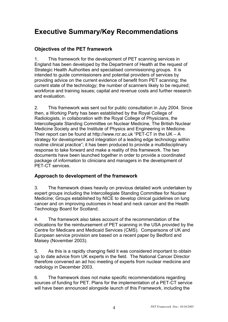## **Executive Summary/Key Recommendations**

### **Objectives of the PET framework**

1. This framework for the development of PET scanning services in England has been developed by the Department of Health at the request of Strategic Health Authorities and specialised commissioning groups. It is intended to guide commissioners and potential providers of services by providing advice on the current evidence of benefit from PET scanning; the current state of the technology; the number of scanners likely to be required; workforce and training issues; capital and revenue costs and further research and evaluation.

2. This framework was sent out for public consultation in July 2004. Since then, a Working Party has been established by the Royal College of Radiologists, in collaboration with the Royal College of Physicians, the Intercollegiate Standing Committee on Nuclear Medicine, The British Nuclear Medicine Society and the Institute of Physics and Engineering in Medicine. Their report can be found at http://www.rcr.ac.uk "PET-CT in the UK – A strategy for development and integration of a leading edge technology within routine clinical practice"; it has been produced to provide a multidisciplinary response to take forward and make a reality of this framework. The two documents have been launched together in order to provide a coordinated package of information to clinicians and managers in the development of PET-CT services.

### **Approach to development of the framework**

3. The framework draws heavily on previous detailed work undertaken by expert groups including the Intercollegiate Standing Committee for Nuclear Medicine; Groups established by NICE to develop clinical guidelines on lung cancer and on improving outcomes in head and neck cancer and the Health Technology Board for Scotland.

4. The framework also takes account of the recommendation of the indications for the reimbursement of PET scanning in the USA provided by the Centre for Medicare and Medicaid Services (CMS). Comparisons of UK and European service provision are based on a recent paper by Bedford and Maisey (November 2003).

5. As this is a rapidly changing field it was considered important to obtain up to date advice from UK experts in the field. The National Cancer Director therefore convened an ad hoc meeting of experts from nuclear medicine and radiology in December 2003.

6. The framework does not make specific recommendations regarding sources of funding for PET. Plans for the implementation of a PET-CT service will have been announced alongside launch of this Framework, including the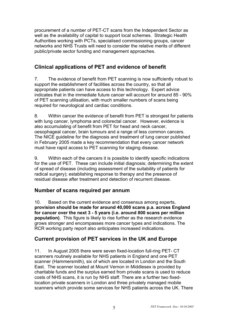procurement of a number of PET-CT scans from the Independent Sector as well as the availability of capital to support local schemes. Strategic Health Authorities working with PCTs, specialised commissioning groups, cancer networks and NHS Trusts will need to consider the relative merits of different public/private sector funding and management approaches.

## **Clinical applications of PET and evidence of benefit**

7. The evidence of benefit from PET scanning is now sufficiently robust to support the establishment of facilities across the country, so that all appropriate patients can have access to this technology. Expert advice indicates that in the immediate future cancer will account for around 85 - 90% of PET scanning utilisation, with much smaller numbers of scans being required for neurological and cardiac conditions.

8. Within cancer the evidence of benefit from PET is strongest for patients with lung cancer, lymphoma and colorectal cancer. However, evidence is also accumulating of benefit from PET for head and neck cancer, oesophageal cancer, brain tumours and a range of less common cancers. The NICE guideline for the diagnosis and treatment of lung cancer published in February 2005 made a key recommendation that every cancer network must have rapid access to PET scanning for staging disease.

9. Within each of the cancers it is possible to identify specific indications for the use of PET. These can include initial diagnosis; determining the extent of spread of disease (including assessment of the suitability of patients for radical surgery); establishing response to therapy and the presence of residual disease after treatment and detection of recurrent disease.

## **Number of scans required per annum**

10. Based on the current evidence and consensus among experts, **provision should be made for around 40,000 scans p.a. across England for cancer over the next 3 - 5 years (i.e. around 800 scans per million population)**. This figure is likely to rise further as the research evidence grows stronger and encompasses more cancer types and indications. The RCR working party report also anticipates increased indications.

## **Current provision of PET services in the UK and Europe**

11. In August 2005 there were seven fixed-location full-ring PET- CT scanners routinely available for NHS patients in England and one PET scanner (Hammersmith), six of which are located in London and the South East. The scanner located at Mount Vernon in Middlesex is provided by charitable funds and the surplus earned from private scans is used to reduce costs of NHS scans, it is run by NHS staff. There are a further two fixedlocation private scanners in London and three privately managed mobile scanners which provide some services for NHS patients across the UK. There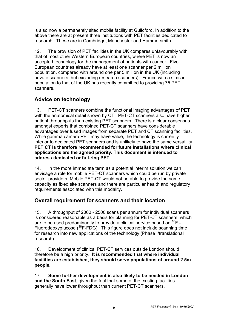is also now a permanently sited mobile facility at Guildford. In addition to the above there are at present three institutions with PET facilities dedicated to research. These are in Cambridge, Manchester and Hammersmith.

12. The provision of PET facilities in the UK compares unfavourably with that of most other Western European countries, where PET is now an accepted technology for the management of patients with cancer. Five European countries already have at least one scanner per 2 million population, compared with around one per 5 million in the UK (including private scanners, but excluding research scanners). France with a similar population to that of the UK has recently committed to providing 75 PET scanners.

## **Advice on technology**

13. PET-CT scanners combine the functional imaging advantages of PET with the anatomical detail shown by CT. PET-CT scanners also have higher patient throughputs than existing PET scanners. There is a clear consensus amongst experts that combined PET-CT scanners have considerable advantages over fused images from separate PET and CT scanning facilities. While gamma camera PET may have value, the technology is currently inferior to dedicated PET scanners and is unlikely to have the same versatility. **PET CT is therefore recommended for future installations where clinical applications are the agreed priority. This document is intended to address dedicated or full-ring PET.** 

14. In the more immediate term as a potential interim solution we can envisage a role for mobile PET-CT scanners which could be run by private sector providers. Mobile PET-CT would not be able to provide the same capacity as fixed site scanners and there are particular health and regulatory requirements associated with this modality.

## **Overall requirement for scanners and their location**

15. A throughput of 2000 - 2500 scans per annum for individual scanners is considered reasonable as a basis for planning for PET-CT scanners, which are to be used predominantly to provide a clinical service based on  ${}^{18}F$  -Fluorodeoxyglucose  $(^{18}F-FDG)$ . This figure does not include scanning time for research into new applications of the technology (Phase I/translational research).

16. Development of clinical PET-CT services outside London should therefore be a high priority. **It is recommended that where individual facilities are established, they should serve populations of around 2.5m people.** 

17. **Some further development is also likely to be needed in London and the South East**, given the fact that some of the existing facilities generally have lower throughput than current PET-CT scanners.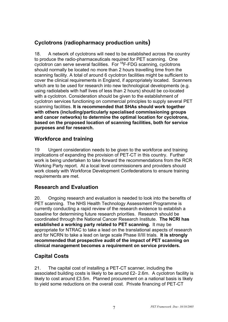## **Cyclotrons (radiopharmacy production units)**

18. A network of cyclotrons will need to be established across the country to produce the radio-pharmaceuticals required for PET scanning. One cyclotron can serve several facilities. For 18F-FDG scanning, cyclotrons should normally be located no more than 2 hours travelling time from the scanning facility. A total of around 6 cyclotron facilities might be sufficient to cover the clinical requirements in England, if appropriately located. Scanners which are to be used for research into new technological developments (e.g. using radiolabels with half lives of less than 2 hours) should be co-located with a cyclotron. Consideration should be given to the establishment of cyclotron services functioning on commercial principles to supply several PET scanning facilities. **It is recommended that SHAs should work together with others (including/particularly specialised commissioning groups and cancer networks) to determine the optimal location for cyclotrons, based on the proposed location of scanning facilities, both for service purposes and for research.** 

## **Workforce and training**

19 Urgent consideration needs to be given to the workforce and training implications of expanding the provision of PET-CT in this country. Further work is being undertaken to take forward the recommendations from the RCR Working Party report. At a local level commissioners and providers should work closely with Workforce Development Confederations to ensure training requirements are met.

## **Research and Evaluation**

20. Ongoing research and evaluation is needed to look into the benefits of PET scanning. The NHS Health Technology Assessment Programme is currently conducting a rapid review of the research evidence to establish a baseline for determining future research priorities. Research should be coordinated through the National Cancer Research Institute. **The NCRI has established a working party related to PET scanning.** It may be appropriate for NTRAC to take a lead on the translational aspects of research and for NCRN to take a lead on large scale Phase II/III trials. **It is strongly recommended that prospective audit of the impact of PET scanning on clinical management becomes a requirement on service providers.** 

### **Capital Costs**

21. The capital cost of installing a PET-CT scanner, including the associated building costs is likely to be around £2- 2.6m. A cyclotron facility is likely to cost around £3.5m. Planned procurement on a national basis is likely to yield some reductions on the overall cost. Private financing of PET-CT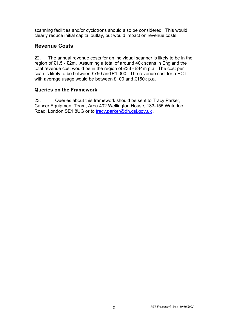scanning facilities and/or cyclotrons should also be considered. This would clearly reduce initial capital outlay, but would impact on revenue costs.

### **Revenue Costs**

22. The annual revenue costs for an individual scanner is likely to be in the region of £1.5 - £2m. Assuming a total of around 40k scans in England the total revenue cost would be in the region of £33 - £44m p.a. The cost per scan is likely to be between £750 and £1,000. The revenue cost for a PCT with average usage would be between £100 and £150k p.a.

#### **Queries on the Framework**

23. Queries about this framework should be sent to Tracy Parker, Cancer Equipment Team, Area 402 Wellington House, 133-155 Waterloo Road, London SE1 8UG or to tracy.parker@dh.gsi.gov.uk .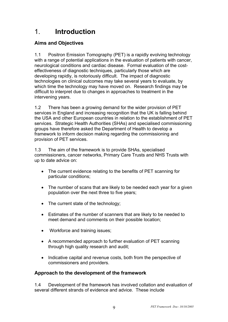## 1. **Introduction**

## **Aims and Objectives**

1.1 Positron Emission Tomography (PET) is a rapidly evolving technology with a range of potential applications in the evaluation of patients with cancer, neurological conditions and cardiac disease. Formal evaluation of the costeffectiveness of diagnostic techniques, particularly those which are developing rapidly, is notoriously difficult. The impact of diagnostic technologies on clinical outcomes may take several years to evaluate, by which time the technology may have moved on. Research findings may be difficult to interpret due to changes in approaches to treatment in the intervening years.

1.2 There has been a growing demand for the wider provision of PET services in England and increasing recognition that the UK is falling behind the USA and other European countries in relation to the establishment of PET services. Strategic Health Authorities (SHAs) and specialised commissioning groups have therefore asked the Department of Health to develop a framework to inform decision making regarding the commissioning and provision of PET services.

1.3 The aim of the framework is to provide SHAs, specialised commissioners, cancer networks, Primary Care Trusts and NHS Trusts with up to date advice on:

- The current evidence relating to the benefits of PET scanning for particular conditions;
- The number of scans that are likely to be needed each year for a given population over the next three to five years;
- The current state of the technology;
- Estimates of the number of scanners that are likely to be needed to meet demand and comments on their possible location;
- Workforce and training issues;
- A recommended approach to further evaluation of PET scanning through high quality research and audit;
- Indicative capital and revenue costs, both from the perspective of commissioners and providers.

### **Approach to the development of the framework**

1.4 Development of the framework has involved collation and evaluation of several different strands of evidence and advice. These include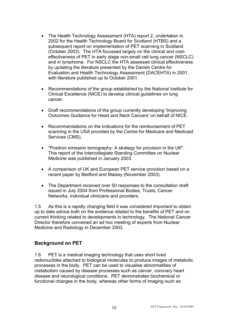- The Health Technology Assessment (HTA) report 2, undertaken in 2002 for the Health Technology Board for Scotland (HTBS) and a subsequent report on implementation of PET scanning in Scotland (October 2003). The HTA focussed largely on the clinical and costeffectiveness of PET in early stage non-small cell lung cancer (NSCLC) and in lymphoma. For NSCLC the HTA assessed clinical effectiveness by updating the literature presented by the Danish Centre for Evaluation and Health Technology Assessment (DACEHTA) in 2001, with literature published up to October 2001.
- Recommendations of the group established by the National Institute for Clinical Excellence (NICE) to develop clinical guidelines on lung cancer.
- Draft recommendations of the group currently developing 'Improving Outcomes Guidance for Head and Neck Cancers' on behalf of NICE.
- Recommendations on the indications for the reimbursement of PET scanning in the USA provided by the Centre for Medicare and Medicaid Services (CMS).
- "Positron emission tomography: A strategy for provision in the UK". This report of the Intercollegiate Standing Committee on Nuclear Medicine was published in January 2003.
- A comparison of UK and European PET service provision based on a recent paper by Bedford and Maisey (November 2003).
- The Department received over 50 responses to the consultation draft issued in July 2004 from Professional Bodies, Trusts, Cancer Networks, individual clinicians and providers.

1.5 As this is a rapidly changing field it was considered important to obtain up to date advice both on the evidence related to the benefits of PET and on current thinking related to developments in technology. The National Cancer Director therefore convened an ad hoc meeting of experts from Nuclear Medicine and Radiology in December 2003.

#### **Background on PET**

1.6 PET is a medical imaging technology that uses short lived radionuclides attached to biological molecules to produce images of metabolic processes in the body. PET can be used to visualise abnormalities of metabolism caused by disease processes such as cancer, coronary heart disease and neurological conditions. PET demonstrates biochemical or functional changes in the body, whereas other forms of imaging such as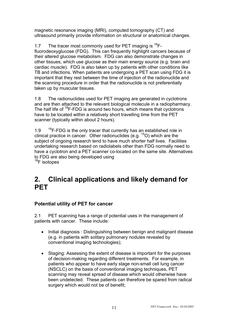magnetic resonance imaging (MRI), computed tomography (CT) and ultrasound primarily provide information on structural or anatomical changes.

1.7 The tracer most commonly used for PET imaging is  ${}^{18}F$ fluorodeoxyglucose (FDG). This can frequently highlight cancers because of their altered glucose metabolism. FDG can also demonstrate changes in other tissues, which use glucose as their main energy source (e.g. brain and cardiac muscle). FDG is also taken up by patients with other conditions like TB and infections. When patients are undergoing a PET scan using FDG it is important that they rest between the time of injection of the radionuclide and the scanning procedure in order that the radionuclide is not preferentially taken up by muscular tissues.

1.8 The radionuclides used for PET imaging are generated in cyclotrons and are then attached to the relevant biological molecule in a radiopharmacy. The half life of  ${}^{18}F$ -FDG is around two hours, which means that cyclotrons have to be located within a relatively short travelling time from the PET scanner (typically within about 2 hours).

1.9  $18F-FDG$  is the only tracer that currently has an established role in clinical practice in cancer. Other radionuclides (e.g.  $15$ O) which are the subject of ongoing research tend to have much shorter half lives. Facilities undertaking research based on radiolabels other than FDG normally need to have a cyclotron and a PET scanner co-located on the same site. Alternatives to FDG are also being developed using  $18$ F isotopes

## **2. Clinical applications and likely demand for PET**

### **Potential utility of PET for cancer**

2.1 PET scanning has a range of potential uses in the management of patients with cancer. These include:

- Initial diagnosis : Distinguishing between benign and malignant disease (e.g. in patients with solitary pulmonary nodules revealed by conventional imaging technologies);
- Staging: Assessing the extent of disease is important for the purposes of decision-making regarding different treatments. For example, in patients who appear to have early stage non-small cell lung cancer (NSCLC) on the basis of conventional imaging techniques, PET scanning may reveal spread of disease which would otherwise have been undetected. These patients can therefore be spared from radical surgery which would not be of benefit;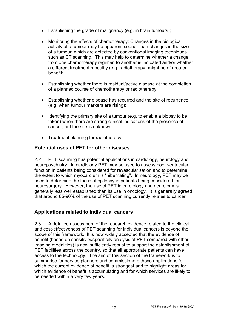- Establishing the grade of malignancy (e.g. in brain tumours);
- Monitoring the effects of chemotherapy: Changes in the biological activity of a tumour may be apparent sooner than changes in the size of a tumour, which are detected by conventional imaging techniques such as CT scanning. This may help to determine whether a change from one chemotherapy regimen to another is indicated and/or whether a different treatment modality (e.g. radiotherapy) might be of greater benefit;
- Establishing whether there is residual/active disease at the completion of a planned course of chemotherapy or radiotherapy;
- Establishing whether disease has recurred and the site of recurrence (e.g. when tumour markers are rising);
- Identifying the primary site of a tumour (e.g. to enable a biopsy to be taken) when there are strong clinical indications of the presence of cancer, but the site is unknown;
- Treatment planning for radiotherapy.

#### **Potential uses of PET for other diseases**

2.2 PET scanning has potential applications in cardiology, neurology and neuropsychiatry. In cardiology PET may be used to assess poor ventricular function in patients being considered for revascularisation and to determine the extent to which myocardium is "hibernating". In neurology, PET may be used to determine the focus of epilepsy in patients being considered for neurosurgery. However, the use of PET in cardiology and neurology is generally less well established than its use in oncology. It is generally agreed that around 85-90% of the use of PET scanning currently relates to cancer.

#### **Applications related to individual cancers**

2.3 A detailed assessment of the research evidence related to the clinical and cost-effectiveness of PET scanning for individual cancers is beyond the scope of this framework. It is now widely accepted that the evidence of benefit (based on sensitivity/specificity analysis of PET compared with other imaging modalities) is now sufficiently robust to support the establishment of PET facilities across the country, so that all appropriate patients can have access to the technology. The aim of this section of the framework is to summarise for service planners and commissioners those applications for which the current evidence of benefit is strongest and to highlight areas for which evidence of benefit is accumulating and for which services are likely to be needed within a very few years.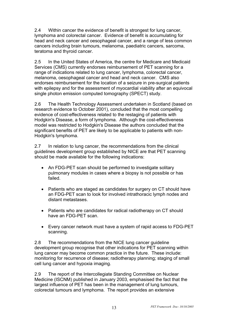2.4 Within cancer the evidence of benefit is strongest for lung cancer, lymphoma and colorectal cancer. Evidence of benefit is accumulating for head and neck cancer and oesophageal cancer, and a range of less common cancers including brain tumours, melanoma, paediatric cancers, sarcoma, teratoma and thyroid cancer.

2.5 In the United States of America, the centre for Medicare and Medicaid Services (CMS) currently endorses reimbursement of PET scanning for a range of indications related to lung cancer, lymphoma, colorectal cancer, melanoma, oesophageal cancer and head and neck cancer. CMS also endorses reimbursement for the location of a seizure in pre-surgical patients with epilepsy and for the assessment of myocardial viability after an equivocal single photon emission computed tomography (SPECT) study.

2.6 The Health Technology Assessment undertaken in Scotland (based on research evidence to October 2001), concluded that the most compelling evidence of cost-effectiveness related to the restaging of patients with Hodgkin's Disease, a form of lymphoma. Although the cost-effectiveness model was restricted to Hodgkin's Disease the authors concluded that the significant benefits of PET are likely to be applicable to patients with non-Hodgkin's lymphoma.

2.7 In relation to lung cancer, the recommendations from the clinical guidelines development group established by NICE are that PET scanning should be made available for the following indications:

- An FDG-PET scan should be performed to investigate solitary pulmonary modules in cases where a biopsy is not possible or has failed.
- Patients who are staged as candidates for surgery on CT should have an FDG-PET scan to look for involved intrathoracic lymph nodes and distant metastases.
- Patients who are candidates for radical radiotherapy on CT should have an FDG-PET scan.
- Every cancer network must have a system of rapid access to FDG-PET scanning.

2.8 The recommendations from the NICE lung cancer guideline development group recognise that other indications for PET scanning within lung cancer may become common practice in the future. These include: monitoring for recurrence of disease; radiotherapy planning; staging of small cell lung cancer and hypoxia imaging.

2.9 The report of the Intercollegiate Standing Committee on Nuclear Medicine (ISCNM) published in January 2003, emphasised the fact that the largest influence of PET has been in the management of lung tumours, colorectal tumours and lymphoma. The report provides an extensive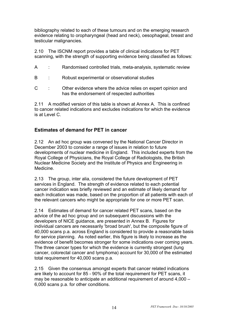bibliography related to each of these tumours and on the emerging research evidence relating to oropharyngeal (head and neck), oesophageal, breast and testicular malignancies.

2.10 The ISCNM report provides a table of clinical indications for PET scanning, with the strength of supporting evidence being classified as follows:

|  |  | Randomised controlled trials, meta-analysis, systematic review |
|--|--|----------------------------------------------------------------|
|--|--|----------------------------------------------------------------|

- B : Robust experimental or observational studies
- C : Other evidence where the advice relies on expert opinion and has the endorsement of respected authorities

2.11 A modified version of this table is shown at Annex A. This is confined to cancer related indications and excludes indications for which the evidence is at Level C.

#### **Estimates of demand for PET in cancer**

2.12 An ad hoc group was convened by the National Cancer Director in December 2003 to consider a range of issues in relation to future developments of nuclear medicine in England. This included experts from the Royal College of Physicians, the Royal College of Radiologists, the British Nuclear Medicine Society and the Institute of Physics and Engineering in Medicine.

2.13 The group, inter alia, considered the future development of PET services in England. The strength of evidence related to each potential cancer indication was briefly reviewed and an estimate of likely demand for each indication was made, based on the proportion of all patients with each of the relevant cancers who might be appropriate for one or more PET scan.

2.14 Estimates of demand for cancer related PET scans, based on the advice of the ad hoc group and on subsequent discussions with the developers of NICE guidance, are presented in Annex B. Figures for individual cancers are necessarily 'broad brush', but the composite figure of 40,000 scans p.a. across England is considered to provide a reasonable basis for service planning. As noted earlier, this figure is likely to increase as the evidence of benefit becomes stronger for some indications over coming years. The three cancer types for which the evidence is currently strongest (lung cancer, colorectal cancer and lymphoma) account for 30,000 of the estimated total requirement for 40,000 scans p.a.

2.15 Given the consensus amongst experts that cancer related indications are likely to account for 85 - 90% of the total requirement for PET scans, it may be reasonable to anticipate an additional requirement of around 4,000 – 6,000 scans p.a. for other conditions.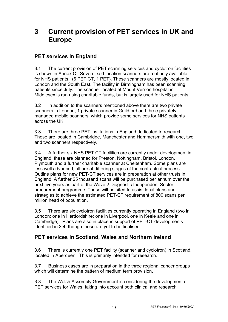## **3 Current provision of PET services in UK and Europe**

## **PET services in England**

3.1 The current provision of PET scanning services and cyclotron facilities is shown in Annex C. Seven fixed-location scanners are routinely available for NHS patients. (6 PET CT, 1 PET). These scanners are mostly located in London and the South East. The facility in Birmingham has been scanning patients since July. The scanner located at Mount Vernon hospital in Middlesex is run using charitable funds, but is largely used for NHS patients.

3.2 In addition to the scanners mentioned above there are two private scanners in London, 1 private scanner in Guildford and three privately managed mobile scanners, which provide some services for NHS patients across the UK.

3.3 There are three PET institutions in England dedicated to research. These are located in Cambridge, Manchester and Hammersmith with one, two and two scanners respectively.

3.4 A further six NHS PET CT facilities are currently under development in England, these are planned for Preston, Nottingham, Bristol, London, Plymouth and a further charitable scanner at Cheltenham. Some plans are less well advanced, all are at differing stages of the contractual process. Outline plans for new PET-CT services are in preparation at other trusts in England. A further 25 thousand scans will be purchased per annum over the next five years as part of the Wave 2 Diagnostic Independent Sector procurement programme. These will be sited to assist local plans and strategies to achieve the estimated PET-CT requirement of 800 scans per million head of population.

3.5 There are six cyclotron facilities currently operating in England (two in London; one in Hertfordshire; one in Liverpool, one in Keele and one in Cambridge). Plans are also in place in support of PET-CT developments identified in 3.4, though these are yet to be finalised.

## **PET services in Scotland, Wales and Northern Ireland**

3.6 There is currently one PET facility (scanner and cyclotron) in Scotland, located in Aberdeen. This is primarily intended for research.

3.7 Business cases are in preparation in the three regional cancer groups which will determine the pattern of medium term provision.

3.8 The Welsh Assembly Government is considering the development of PET services for Wales, taking into account both clinical and research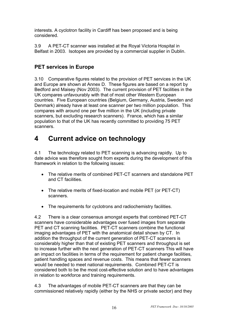interests. A cyclotron facility in Cardiff has been proposed and is being considered.

3.9 A PET-CT scanner was installed at the Royal Victoria Hospital in Belfast in 2003. Isotopes are provided by a commercial supplier in Dublin.

## **PET services in Europe**

3.10 Comparative figures related to the provision of PET services in the UK and Europe are shown at Annex D. These figures are based on a report by Bedford and Maisey (Nov 2003). The current provision of PET facilities in the UK compares unfavourably with that of most other Western European countries. Five European countries (Belgium, Germany, Austria, Sweden and Denmark) already have at least one scanner per two million population. This compares with around one per five million in the UK (including private scanners, but excluding research scanners). France, which has a similar population to that of the UK has recently committed to providing 75 PET scanners.

## **4 Current advice on technology**

4.1 The technology related to PET scanning is advancing rapidly. Up to date advice was therefore sought from experts during the development of this framework in relation to the following issues:

- The relative merits of combined PET-CT scanners and standalone PET and CT facilities.
- The relative merits of fixed-location and mobile PET (or PET-CT) scanners.
- The requirements for cyclotrons and radiochemistry facilities.

4.2 There is a clear consensus amongst experts that combined PET-CT scanners have considerable advantages over fused images from separate PET and CT scanning facilities. PET-CT scanners combine the functional imaging advantages of PET with the anatomical detail shown by CT. In addition the throughput of the current generation of PET-CT scanners is considerably higher than that of existing PET scanners and throughput is set to increase further with the next generation of PET-CT scanners This will have an impact on facilities in terms of the requirement for patient change facilities, patient handling spaces and revenue costs. This means that fewer scanners would be needed to meet national requirements. Combined PET-CT is considered both to be the most cost-effective solution and to have advantages in relation to workforce and training requirements.

4.3 The advantages of mobile PET-CT scanners are that they can be commissioned relatively rapidly (either by the NHS or private sector) and they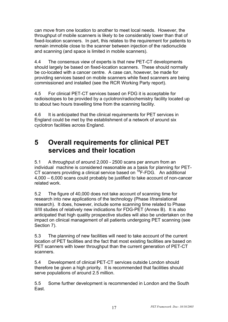can move from one location to another to meet local needs. However, the throughput of mobile scanners is likely to be considerably lower than that of fixed-location scanners. In part, this relates to the requirement for patients to remain immobile close to the scanner between injection of the radionuclide and scanning (and space is limited in mobile scanners).

4.4 The consensus view of experts is that new PET-CT developments should largely be based on fixed-location scanners. These should normally be co-located with a cancer centre. A case can, however, be made for providing services based on mobile scanners while fixed scanners are being commissioned and installed (see the RCR Working Party report).

4.5 For clinical PET-CT services based on FDG it is acceptable for radioisotopes to be provided by a cyclotron/radiochemistry facility located up to about two hours travelling time from the scanning facility.

4.6 It is anticipated that the clinical requirements for PET services in England could be met by the establishment of a network of around six cyclotron facilities across England.

## **5 Overall requirements for clinical PET services and their location**

5.1 A throughput of around 2,000 - 2500 scans per annum from an individual machine is considered reasonable as a basis for planning for PET-CT scanners providing a clinical service based on  ${}^{18}$ F-FDG. An additional 4,000 – 6,000 scans could probably be justified to take account of non-cancer related work.

5.2 The figure of 40,000 does not take account of scanning time for research into new applications of the technology (Phase I/translational research). It does, however, include some scanning time related to Phase II/III studies of relatively new indications for FDG-PET (Annex B). It is also anticipated that high quality prospective studies will also be undertaken on the impact on clinical management of all patients undergoing PET scanning (see Section 7).

5.3 The planning of new facilities will need to take account of the current location of PET facilities and the fact that most existing facilities are based on PET scanners with lower throughput than the current generation of PET-CT scanners.

5.4 Development of clinical PET-CT services outside London should therefore be given a high priority. It is recommended that facilities should serve populations of around 2.5 million.

5.5 Some further development is recommended in London and the South East.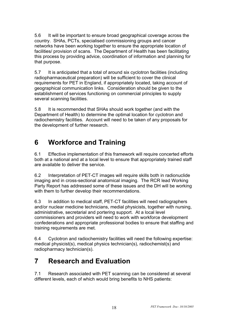5.6 It will be important to ensure broad geographical coverage across the country. SHAs, PCTs, specialised commissioning groups and cancer networks have been working together to ensure the appropriate location of facilities/ provision of scans. The Department of Health has been facilitating this process by providing advice, coordination of information and planning for that purpose.

5.7 It is anticipated that a total of around six cyclotron facilities (including radiopharmaceutical preparation) will be sufficient to cover the clinical requirements for PET in England, if appropriately located, taking account of geographical communication links. Consideration should be given to the establishment of services functioning on commercial principles to supply several scanning facilities.

5.8 It is recommended that SHAs should work together (and with the Department of Health) to determine the optimal location for cyclotron and radiochemistry facilities. Account will need to be taken of any proposals for the development of further research.

## **6 Workforce and Training**

6.1 Effective implementation of this framework will require concerted efforts both at a national and at a local level to ensure that appropriately trained staff are available to deliver the service.

6.2 Interpretation of PET-CT images will require skills both in radionuclide imaging and in cross-sectional anatomical imaging. The RCR lead Working Party Report has addressed some of these issues and the DH will be working with them to further develop their recommendations.

6.3 In addition to medical staff, PET-CT facilities will need radiographers and/or nuclear medicine technicians, medial physicists, together with nursing, administrative, secretarial and portering support. At a local level commissioners and providers will need to work with workforce development confederations and appropriate professional bodies to ensure that staffing and training requirements are met.

6.4 Cyclotron and radiochemistry facilities will need the following expertise: medical physicist(s), medical physics technician(s), radiochemist(s) and radiopharmacy technician(s).

## **7 Research and Evaluation**

7.1 Research associated with PET scanning can be considered at several different levels, each of which would bring benefits to NHS patients: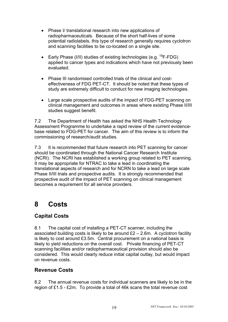- Phase I/ translational research into new applications of radiopharmaceuticals. Because of the short half-lives of some potential radiolabels, this type of research generally requires cyclotron and scanning facilities to be co-located on a single site.
- Early Phase (I/II) studies of existing technologies (e.g.  $^{18}$ F-FDG) applied to cancer types and indications which have not previously been evaluated.
- Phase III randomised controlled trials of the clinical and costeffectiveness of FDG PET-CT. It should be noted that these types of study are extremely difficult to conduct for new imaging technologies.
- Large scale prospective audits of the impact of FDG-PET scanning on clinical management and outcomes in areas where existing Phase II/III studies suggest benefit.

7.2 The Department of Health has asked the NHS Health Technology Assessment Programme to undertake a rapid review of the current evidencebase related to FDG-PET for cancer. The aim of this review is to inform the commissioning of research/audit studies.

7.3 It is recommended that future research into PET scanning for cancer should be coordinated through the National Cancer Research Institute (NCRI). The NCRI has established a working group related to PET scanning. It may be appropriate for NTRAC to take a lead in coordinating the translational aspects of research and for NCRN to take a lead on large scale Phase II/III trials and prospective audits. It is strongly recommended that prospective audit of the impact of PET scanning on clinical management becomes a requirement for all service providers.

## **8 Costs**

## **Capital Costs**

8.1 The capital cost of installing a PET-CT scanner, including the associated building costs is likely to be around  $£2 - 2.6$ m. A cyclotron facility is likely to cost around £3.5m. Central procurement on a national basis is likely to yield reductions on the overall cost. Private financing of PET-CT scanning facilities and/or radiopharmaceutical provision should also be considered. This would clearly reduce initial capital outlay, but would impact on revenue costs.

### **Revenue Costs**

8.2 The annual revenue costs for individual scanners are likely to be in the region of £1.5 - £2m. To provide a total of 46k scans the total revenue cost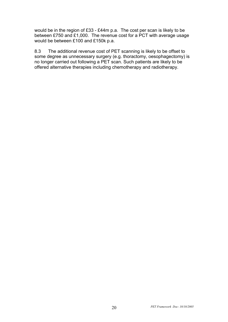would be in the region of £33 - £44m p.a. The cost per scan is likely to be between £750 and £1,000. The revenue cost for a PCT with average usage would be between £100 and £150k p.a.

8.3 The additional revenue cost of PET scanning is likely to be offset to some degree as unnecessary surgery (e.g. thoractomy, oesophagectomy) is no longer carried out following a PET scan. Such patients are likely to be offered alternative therapies including chemotherapy and radiotherapy.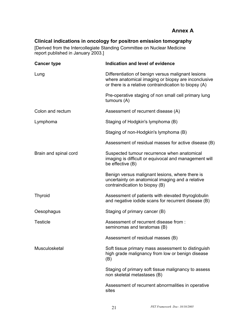## **Annex A**

### **Clinical indications in oncology for positron emission tomography**

[Derived from the Intercollegiate Standing Committee on Nuclear Medicine report published in January 2003.]

| <b>Cancer type</b>    | Indication and level of evidence                                                                                                                                   |
|-----------------------|--------------------------------------------------------------------------------------------------------------------------------------------------------------------|
| Lung                  | Differentiation of benign versus malignant lesions<br>where anatomical imaging or biopsy are inconclusive<br>or there is a relative contraindication to biopsy (A) |
|                       | Pre-operative staging of non small cell primary lung<br>tumours (A)                                                                                                |
| Colon and rectum      | Assessment of recurrent disease (A)                                                                                                                                |
| Lymphoma              | Staging of Hodgkin's lymphoma (B)                                                                                                                                  |
|                       | Staging of non-Hodgkin's lymphoma (B)                                                                                                                              |
|                       | Assessment of residual masses for active disease (B)                                                                                                               |
| Brain and spinal cord | Suspected tumour recurrence when anatomical<br>imaging is difficult or equivocal and management will<br>be effective (B)                                           |
|                       | Benign versus malignant lesions, where there is<br>uncertainty on anatomical imaging and a relative<br>contraindication to biopsy (B)                              |
| <b>Thyroid</b>        | Assessment of patients with elevated thyroglobulin<br>and negative iodide scans for recurrent disease (B)                                                          |
| Oesophagus            | Staging of primary cancer (B)                                                                                                                                      |
| <b>Testicle</b>       | Assessment of recurrent disease from :<br>seminomas and teratomas (B)                                                                                              |
|                       | Assessment of residual masses (B)                                                                                                                                  |
| Musculosketal         | Soft tissue primary mass assessment to distinguish<br>high grade malignancy from low or benign disease<br>(B)                                                      |
|                       | Staging of primary soft tissue malignancy to assess<br>non skeletal metastases (B)                                                                                 |
|                       | Assessment of recurrent abnormalities in operative<br>sites                                                                                                        |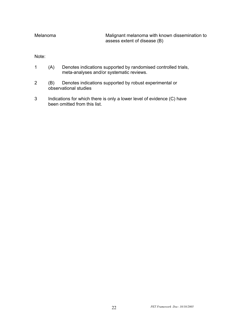Melanoma Malignant melanoma with known dissemination to assess extent of disease (B)

Note:

- 1 (A) Denotes indications supported by randomised controlled trials, meta-analyses and/or systematic reviews.
- 2 (B) Denotes indications supported by robust experimental or observational studies
- 3 Indications for which there is only a lower level of evidence (C) have been omitted from this list.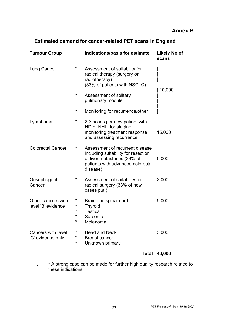## **Estimated demand for cancer-related PET scans in England**

| <b>Tumour Group</b>                      |                  | Indications/basis for estimate                                                                                                                         | <b>Likely No of</b><br>scans |
|------------------------------------------|------------------|--------------------------------------------------------------------------------------------------------------------------------------------------------|------------------------------|
| Lung Cancer                              | *                | Assessment of suitability for<br>radical therapy (surgery or<br>radiotherapy)<br>(33% of patients with NSCLC)                                          | ]<br>]<br>l<br>10,000        |
|                                          | $\star$          | Assessment of solitary<br>pulmonary module                                                                                                             |                              |
|                                          | $\star$          | Monitoring for recurrence/other                                                                                                                        |                              |
| Lymphoma                                 | *                | 2-3 scans per new patient with<br>HD or NHL, for staging,<br>monitoring treatment response<br>and assessing recurrence                                 | 15,000                       |
| <b>Colorectal Cancer</b>                 | *                | Assessment of recurrent disease<br>including suitability for resection<br>of liver metastases (33% of<br>patients with advanced colorectal<br>disease) | 5,000                        |
| Oesophageal<br>Cancer                    | *                | Assessment of suitability for<br>radical surgery (33% of new<br>cases p.a.)                                                                            | 2,000                        |
| Other cancers with<br>level 'B' evidence | $\ast$<br>*<br>* | Brain and spinal cord<br><b>Thyroid</b><br><b>Testical</b><br>Sarcoma<br>Melanoma                                                                      | 5,000                        |
| Cancers with level<br>'C' evidence only  | *<br>*<br>*      | <b>Head and Neck</b><br><b>Breast cancer</b><br>Unknown primary                                                                                        | 3,000                        |

### **Total 40,000**

1. \* A strong case can be made for further high quality research related to these indications.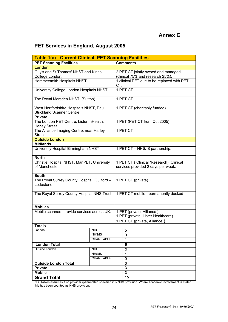## **PET Services in England, August 2005**

| <b>Table 1(a): Current Clinical PET Scanning Facilities</b>                 |            |                                    |                                            |  |
|-----------------------------------------------------------------------------|------------|------------------------------------|--------------------------------------------|--|
| <b>PET Scanning Facilities</b>                                              |            |                                    | <b>Comments</b>                            |  |
| <b>London</b>                                                               |            |                                    |                                            |  |
| Guy's and St Thomas' NHST and Kings                                         |            |                                    | 2 PET CT jointly owned and managed         |  |
| College London.                                                             |            |                                    | (clinical 75% and research 25%).           |  |
| <b>Hammersmith Hospitals NHST</b>                                           |            | CT.                                | 1 clinical PET due to be replaced with PET |  |
| University College London Hospitals NHST                                    |            |                                    | 1 PET CT                                   |  |
| The Royal Marsden NHST, (Sutton)                                            |            |                                    | 1 PET CT                                   |  |
| West Hertfordshire Hospitals NHST, Paul<br><b>Strickland Scanner Centre</b> |            |                                    | 1 PET CT (charitably funded)               |  |
| <b>Private</b>                                                              |            |                                    |                                            |  |
| The London PET Centre, Lister InHealth,<br><b>Harley Street</b>             |            |                                    | 1 PET (PET CT from Oct 2005)               |  |
| The Alliance Imaging Centre, near Harley<br><b>Street</b>                   |            |                                    | 1 PET CT                                   |  |
| <b>Outside London</b>                                                       |            |                                    |                                            |  |
| <b>Midlands</b>                                                             |            |                                    |                                            |  |
| University Hospital Birmingham NHST                                         |            |                                    | 1 PET CT - NHS/IS partnership.             |  |
| <b>North</b>                                                                |            |                                    |                                            |  |
| Christie Hospital NHST, ManPET, University                                  |            |                                    | 1 PET CT ( Clinical /Research) Clinical    |  |
| of Manchester                                                               |            |                                    | services provided 2 days per week.         |  |
| <b>South</b>                                                                |            |                                    |                                            |  |
| The Royal Surrey County Hospital, Guilford -<br>Lodestone                   |            |                                    | 1 PET CT (private)                         |  |
| The Royal Surrey County Hospital NHS Trust                                  |            |                                    | 1 PET CT mobile - permanently docked       |  |
| <b>Mobiles</b>                                                              |            |                                    |                                            |  |
| Mobile scanners provide services across UK.                                 |            |                                    | 1 PET (private, Alliance)                  |  |
|                                                                             |            | 1 PET (private, Lister Healthcare) |                                            |  |
|                                                                             |            |                                    | 1 PET CT (private, Alliance)               |  |
| Totals                                                                      |            |                                    |                                            |  |
| London                                                                      | <b>NHS</b> |                                    | 5                                          |  |
|                                                                             | NHS/IS     |                                    | 0                                          |  |
| CHARITABLE                                                                  |            |                                    | 1                                          |  |
| <b>London Total</b>                                                         |            |                                    | 6                                          |  |
| Outside London                                                              | <b>NHS</b> |                                    | $\overline{2}$                             |  |
|                                                                             | NHS/IS     |                                    | $\mathbf{1}$                               |  |
| CHARITABLE                                                                  |            |                                    | 0                                          |  |
| <b>Outside London Total</b>                                                 |            |                                    | 3                                          |  |
| <b>Private</b>                                                              |            |                                    | 3                                          |  |
| <b>Mobile</b>                                                               |            |                                    | 3                                          |  |
| <b>Grand Total</b>                                                          |            |                                    | 15                                         |  |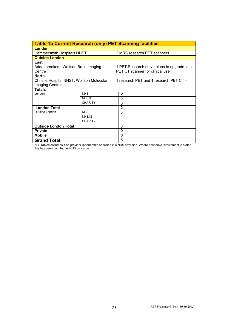| <b>Table 1b Current Research (only) PET Scanning facilities</b> |                |                                             |  |
|-----------------------------------------------------------------|----------------|---------------------------------------------|--|
| <b>London</b>                                                   |                |                                             |  |
| Hammersmith Hospitals NHST                                      |                | 2 MRC research PET scanners                 |  |
| <b>Outside London</b>                                           |                |                                             |  |
| East                                                            |                |                                             |  |
| Addenbrookes - Wolfson Brain Imaging                            |                | 1 PET Research only - plans to upgrade to a |  |
| Centre                                                          |                | PET CT scanner for clinical use             |  |
| North                                                           |                |                                             |  |
| Christie Hospital NHST, Wolfson Molecular                       |                | 1 research PET and 1 research PET CT -      |  |
| Imaging Centre:                                                 |                |                                             |  |
| Totals                                                          |                |                                             |  |
| London                                                          | <b>NHS</b>     | 2                                           |  |
|                                                                 | NHS/IS         | $\Omega$                                    |  |
|                                                                 | <b>CHARITY</b> | 0                                           |  |
| <b>London Total</b>                                             |                | $\mathbf{2}$                                |  |
| Outside London                                                  | <b>NHS</b>     | 3                                           |  |
|                                                                 | NHS/IS         |                                             |  |
|                                                                 | <b>CHARITY</b> |                                             |  |
| <b>Outside London Total</b>                                     |                | 3                                           |  |
| <b>Private</b>                                                  |                | 0                                           |  |
| <b>Mobile</b>                                                   |                | 0                                           |  |
| <b>Grand Total</b>                                              |                | 5                                           |  |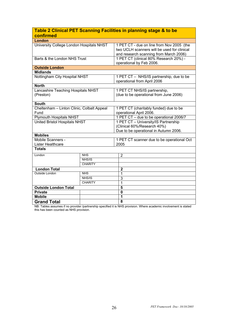| Table 2 Clinical PET Scanning Facilities in planning stage & to be |                |                                                                                                                                    |  |
|--------------------------------------------------------------------|----------------|------------------------------------------------------------------------------------------------------------------------------------|--|
| confirmed                                                          |                |                                                                                                                                    |  |
| London                                                             |                |                                                                                                                                    |  |
| University College London Hospitals NHST                           |                | 1 PET CT - due on line from Nov 2005 (the<br>two UCLH scanners will be used for clinical<br>and research scanning from March 2006) |  |
| Barts & the London NHS Trust                                       |                | 1 PET CT (clinical 80% Research 20%) -<br>operational by Feb 2006.                                                                 |  |
| <b>Outside London</b>                                              |                |                                                                                                                                    |  |
| <b>Midlands</b>                                                    |                |                                                                                                                                    |  |
| Nottingham City Hospital NHST                                      |                | 1 PET CT - NHS/IS partnership, due to be<br>operational from April 2006                                                            |  |
| <b>North</b>                                                       |                |                                                                                                                                    |  |
| Lancashire Teaching Hospitals NHST<br>(Preston)                    |                | 1 PET CT NHS/IS partnership,<br>(due to be operational from June 2006)                                                             |  |
| <b>South</b>                                                       |                |                                                                                                                                    |  |
| Cheltenham - Linton Clinic, Colbalt Appeal<br>Fund                 |                | 1 PET CT (charitably funded) due to be<br>operational April 2006.                                                                  |  |
| <b>Plymouth Hospitals NHST</b>                                     |                | 1 PET CT - due to be operational 2006/7                                                                                            |  |
| United Bristol Hospitals NHST                                      |                | 1 PET CT - University/IS Partnership<br>(Clinical 60%/Research 40%)<br>Due to be operational in Autumn 2006.                       |  |
| <b>Mobiles</b>                                                     |                |                                                                                                                                    |  |
| Mobile Scanners -<br>Lister Healthcare                             |                | 1 PET CT scanner due to be operational Oct<br>2005                                                                                 |  |
| <b>Totals</b>                                                      |                |                                                                                                                                    |  |
| London                                                             | <b>NHS</b>     | $\overline{2}$                                                                                                                     |  |
|                                                                    | NHS/IS         |                                                                                                                                    |  |
|                                                                    | <b>CHARITY</b> |                                                                                                                                    |  |
| <b>London Total</b>                                                |                | $\mathbf 2$                                                                                                                        |  |
| Outside London                                                     | <b>NHS</b>     | $\overline{1}$                                                                                                                     |  |
|                                                                    | NHS/IS         | 3                                                                                                                                  |  |
| <b>CHARITY</b>                                                     |                | 1                                                                                                                                  |  |
| <b>Outside London Total</b>                                        |                | $\overline{\mathbf{5}}$                                                                                                            |  |
| <b>Private</b>                                                     |                | $\mathbf 0$                                                                                                                        |  |
| <b>Mobile</b>                                                      |                | 1                                                                                                                                  |  |
| <b>Grand Total</b>                                                 |                | 8                                                                                                                                  |  |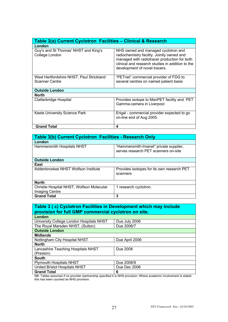| Table 3(a) Current Cyclotron Facilities - Clinical & Research     |                                                                                                                                                                                                                        |
|-------------------------------------------------------------------|------------------------------------------------------------------------------------------------------------------------------------------------------------------------------------------------------------------------|
| London                                                            |                                                                                                                                                                                                                        |
| Guy's and St Thomas' NHST and King's<br>College London            | NHS owned and managed cyclotron and<br>radiochemistry facility. Jointly owned and<br>managed with radiotracer production for both<br>clinical and research studies in addition to the<br>development of novel tracers. |
| West Hertfordshire NHST, Paul Strickland<br><b>Scanner Centre</b> | "PETnet" commercial provider of FDG to<br>several centres on named patient basis                                                                                                                                       |
| <b>Outside London</b>                                             |                                                                                                                                                                                                                        |
| <b>North</b>                                                      |                                                                                                                                                                                                                        |
| Clatterbridge Hospital                                            | Provides isotope to ManPET facility and PET<br>Gamma-camera in Liverpool                                                                                                                                               |
| Keele University Science Park                                     | Erigal - commercial provider expected to go<br>on-line end of Aug 2005.                                                                                                                                                |
| <b>Grand Total</b>                                                | 4                                                                                                                                                                                                                      |

| Table 3(b) Current Cyclotron Facilities - Research Only     |                                                                                |
|-------------------------------------------------------------|--------------------------------------------------------------------------------|
| London                                                      |                                                                                |
| Hammersmith Hospitals NHST                                  | "Hammersmith-Imanet" private supplier,<br>serves research PET scanners on-site |
| <b>Outside London</b>                                       |                                                                                |
| East                                                        |                                                                                |
| Addenbrookes NHST Wolfson Institute                         | Provides isotopes for its own research PET<br>scanners                         |
| <b>North</b>                                                |                                                                                |
| Christie Hospital NHST, Wolfson Molecular<br>Imaging Centre | 1 research cyclotron.                                                          |
| <b>Grand Total</b>                                          | 3                                                                              |

#### **Table 3 ( c) Cyclotron Facilities in Development which may include provision for full GMP commercial cyclotron on site. London**  University College London Hospitals NHST | Due July 2006<br>The Royal Marsden NHST, (Sutton) | Due 2006/7 The Royal Marsden NHST, (Sutton) **Outside London Midlands** Nottingham City Hospital NHST | Due April 2006 **North** Lancashire Teaching Hospitals NHST (Preston) Due 2008 **South** Plymouth Hospitals NHST<br>
United Bristol Hospitals NHST<br>
Due Dec 2006 United Bristol Hospitals NHST Grand Total **6 Grand Total**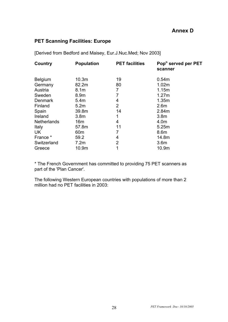### **PET Scanning Facilities: Europe**

[Derived from Bedford and Maisey, Eur.J.Nuc.Med; Nov 2003]

| Country            | <b>Population</b> | <b>PET</b> facilities | Pop <sup>n</sup> served per PET<br>scanner |
|--------------------|-------------------|-----------------------|--------------------------------------------|
| <b>Belgium</b>     | 10.3 <sub>m</sub> | 19                    | 0.54m                                      |
| Germany            | 82.2m             | 80                    | 1.02m                                      |
| Austria            | 8.1 <sub>m</sub>  | 7                     | 1.15m                                      |
| Sweden             | 8.9m              | 7                     | 1.27m                                      |
| <b>Denmark</b>     | 5.4 <sub>m</sub>  | 4                     | 1.35m                                      |
| Finland            | 5.2m              | 2                     | 2.6 <sub>m</sub>                           |
| Spain              | 39.8m             | 14                    | 2.84m                                      |
| Ireland            | 3.8 <sub>m</sub>  | 1                     | 3.8 <sub>m</sub>                           |
| <b>Netherlands</b> | 16m               | 4                     | 4.0m                                       |
| Italy              | 57.8m             | 11                    | 5.25m                                      |
| UK                 | 60 <sub>m</sub>   | 7                     | 8.6 <sub>m</sub>                           |
| France *           | 59.2              | 4                     | 14.8m                                      |
| Switzerland        | 7.2m              | 2                     | 3.6 <sub>m</sub>                           |
| Greece             | 10.9m             | 1                     | 10.9m                                      |

\* The French Government has committed to providing 75 PET scanners as part of the 'Plan Cancer'.

The following Western European countries with populations of more than 2 million had no PET facilities in 2003: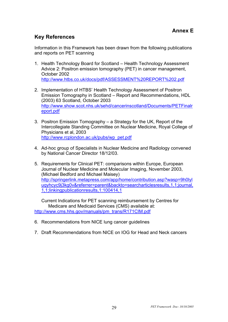## **Key References**

Information in this Framework has been drawn from the following publications and reports on PET scanning

- 1. Health Technology Board for Scotland Health Technology Assessment Advice 2: Positron emission tomography (PET) in cancer management, October 2002 http://www.htbs.co.uk/docs/pdf/ASSESSMENT%20REPORT%202.pdf
- 2. Implementation of HTBS' Health Technology Assessment of Positron Emission Tomography in Scotland – Report and Recommendations, HDL (2003) 63 Scotland, October 2003 http://www.show.scot.nhs.uk/sehd/cancerinscotland/Documents/PETFinalr eport.pdf
- 3. Positron Emission Tomography a Strategy for the UK, Report of the Intercollegiate Standing Committee on Nuclear Medicine, Royal College of Physicians et al, 2003 http://www.rcplondon.ac.uk/pubs/wp\_pet.pdf
- 4. Ad-hoc group of Specialists in Nuclear Medicine and Radiology convened by National Cancer Director 18/12/03.
- 5. Requirements for Clinical PET: comparisons within Europe, European Journal of Nuclear Medicine and Molecular Imaging, November 2003, (Michael Bedford and Michael Maisey) http://springerlink.metapress.com/app/home/contribution.asp?wasp=9h0lyl uqyhcyc9j3kg0v&referrer=parent&backto=searcharticlesresults,1,1;journal, 1,1;linkingpublicationresults,1:100414,1

Current Indications for PET scanning reimbursement by Centres for Medicare and Medicaid Services (CMS) available at: http://www.cms.hhs.gov/manuals/pm\_trans/R171CIM.pdf

- 6. Recommendations from NICE lung cancer guidelines
- 7. Draft Recommendations from NICE on IOG for Head and Neck cancers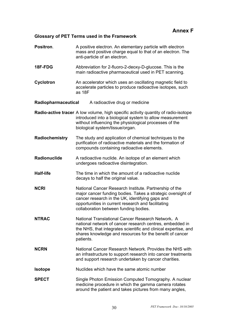## **Annex F**

### **Glossary of PET Terms used in the Framework**

| Positron.           | A positive electron. An elementary particle with electron<br>mass and positive charge equal to that of an electron. The<br>anti-particle of an electron.                                                                                                                |  |  |
|---------------------|-------------------------------------------------------------------------------------------------------------------------------------------------------------------------------------------------------------------------------------------------------------------------|--|--|
| 18F-FDG             | Abbreviation for 2-fluoro-2-deoxy-D-glucose. This is the<br>main radioactive pharmaceutical used in PET scanning.                                                                                                                                                       |  |  |
| Cyclotron           | An accelerator which uses an oscillating magnetic field to<br>accelerate particles to produce radioactive isotopes, such<br>as 18F                                                                                                                                      |  |  |
| Radiopharmaceutical | A radioactive drug or medicine                                                                                                                                                                                                                                          |  |  |
|                     | Radio-active tracer A low volume, high specific activity quantity of radio-isotope<br>introduced into a biological system to allow measurement<br>without influencing the physiological processes of the<br>biological system/tissue/organ.                             |  |  |
| Radiochemistry      | The study and application of chemical techniques to the<br>purification of radioactive materials and the formation of<br>compounds containing radioactive elements.                                                                                                     |  |  |
| Radionuclide        | A radioactive nuclide. An isotope of an element which<br>undergoes radioactive disintegration.                                                                                                                                                                          |  |  |
| <b>Half-life</b>    | The time in which the amount of a radioactive nuclide<br>decays to half the original value.                                                                                                                                                                             |  |  |
| <b>NCRI</b>         | National Cancer Research Institute. Partnership of the<br>major cancer funding bodies. Takes a strategic oversight of<br>cancer research in the UK, identifying gaps and<br>opportunities in current research and facilitating<br>collaboration between funding bodies. |  |  |
| <b>NTRAC</b>        | National Translational Cancer Research Network. A<br>national network of cancer research centres, embedded in<br>the NHS, that integrates scientific and clinical expertise, and<br>shares knowledge and resources for the benefit of cancer<br>patients.               |  |  |
| <b>NCRN</b>         | National Cancer Research Network. Provides the NHS with<br>an infrastructure to support research into cancer treatments<br>and support research undertaken by cancer charities.                                                                                         |  |  |
| <b>Isotope</b>      | Nuclides which have the same atomic number                                                                                                                                                                                                                              |  |  |
| <b>SPECT</b>        | Single Photon Emission Computed Tomography. A nuclear<br>medicine procedure in which the gamma camera rotates<br>around the patient and takes pictures from many angles,                                                                                                |  |  |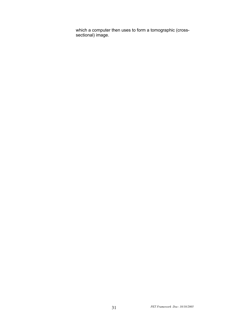which a computer then uses to form a tomographic (crosssectional) image.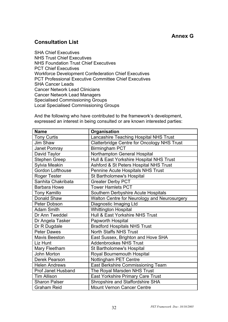## **Consultation List**

SHA Chief Executives NHS Trust Chief Executives NHS Foundation Trust Chief Executives PCT Chief Executives Workforce Development Confederation Chief Executives PCT Professional Executive Committee Chief Executives SHA Cancer Leads Cancer Network Lead Clinicians Cancer Network Lead Managers Specialised Commissioning Groups Local Specialised Commissioning Groups

And the following who have contributed to the framework's development, expressed an interest in being consulted or are known interested parties:

| <b>Name</b>               | Organisation                                 |
|---------------------------|----------------------------------------------|
| <b>Tony Curtis</b>        | Lancashire Teaching Hospital NHS Trust       |
| <b>Jim Shaw</b>           | Clatterbridge Centre for Oncology NHS Trust  |
| Janet Pomray              | <b>Birmingham PCT</b>                        |
| David Taylor              | Northampton General Hospital                 |
| <b>Stephen Greep</b>      | Hull & East Yorkshire Hospital NHS Trust     |
| Sylvia Meakin             | Ashford & St Peters Hospital NHS Trust       |
| <b>Gordon Lofthouse</b>   | Pennine Acute Hospitals NHS Trust            |
| <b>Roger Tester</b>       | St Bartholomew's Hospital                    |
| Sanhita Chakribata        | <b>Greater Derby PCT</b>                     |
| <b>Barbara Howe</b>       | <b>Tower Hamlets PCT</b>                     |
| <b>Tony Kamillo</b>       | Southern Derbyshire Acute Hospitals          |
| Donald Shaw               | Walton Centre for Neurology and Neurosurgery |
| Peter Dobson              | Diagnostic Imaging Ltd                       |
| <b>Adam Smith</b>         | <b>Whittington Hospital</b>                  |
| Dr Ann Tweddel            | Hull & East Yorkshire NHS Trust              |
| Dr Angela Tasker          | Papworth Hospital                            |
| Dr R Dugdale              | <b>Bradford Hospitals NHS Trust</b>          |
| <b>Peter Dawes</b>        | <b>North Staffs NHS Trust</b>                |
| <b>Mavis Beeston</b>      | East Sussex, Brighton and Hove SHA           |
| Liz Hunt                  | <b>Addenbrookes NHS Trust</b>                |
| Mary Fleetham             | St Bartholomew's Hospital                    |
| <b>John Morton</b>        | Royal Bournemouth Hospital                   |
| Derek Pearson             | Nottingham PET Centre                        |
| <b>Helen Andrews</b>      | East Berkshire Commissioning Team            |
| <b>Prof Janet Husband</b> | The Royal Marsden NHS Trust                  |
| <b>Tim Allison</b>        | East Yorkshire Primary Care Trust            |
| <b>Sharon Palser</b>      | Shropshire and Staffordshire SHA             |
| <b>Graham Reid</b>        | <b>Mount Vernon Cancer Centre</b>            |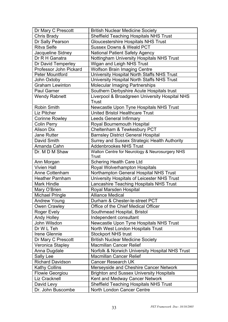| Dr Mary C Prescott      | <b>British Nuclear Medicine Society</b>                 |
|-------------------------|---------------------------------------------------------|
| Chris Brady             | <b>Sheffield Teaching Hospitals NHS Trust</b>           |
| Dr Sally Pearson        | <b>Gloucestershire Hospitals NHS Trust</b>              |
| <b>Ritva Selfe</b>      | <b>Sussex Downs &amp; Weald PCT</b>                     |
| Jacqueline Sidney       | <b>National Patient Safety Agency</b>                   |
| Dr R H Ganatra          | Nottingham University Hospitals NHS Trust               |
| Dr David Temperley      | Wigan and Leigh NHS Trust                               |
| Professor John Pickard  | <b>Wolfson Brain Imaging Centre</b>                     |
| <b>Peter Mountford</b>  | University Hospital North Staffs NHS Trust              |
| John Oxtoby             | University Hospital North Staffs NHS Trust              |
| <b>Graham Lewinton</b>  | <b>Molecular Imaging Partnerships</b>                   |
| <b>Paul Garner</b>      | Southern Derbyshire Acute Hospitals trust               |
| <b>Wendy Rabnett</b>    | Liverpool & Broadgreen University Hospital NHS<br>Trust |
| <b>Robin Smith</b>      | Newcastle Upon Tyne Hospitals NHS Trust                 |
| Liz Pitcher             | <b>United Bristol Healthcare Trust</b>                  |
| <b>Corinne Rowley</b>   | <b>Leeds General Infirmary</b>                          |
| <b>Colin Perry</b>      | Royal Bournemouth Hospital                              |
| <b>Alison Dix</b>       | Cheltenham & Tewkesbury PCT                             |
| <b>Jane Rutter</b>      | <b>Barnsley District General Hospital</b>               |
| David Smith             | Surrey and Sussex Strategic Health Authority            |
| Amanda Cahn             | <b>Addenbrookes NHS Trust</b>                           |
| Dr. M D M Shaw          | Walton Centre for Neurology & Neurosurgery NHS<br>Trust |
| Ann Morgan              | <b>Schering Health Care Ltd</b>                         |
| <b>Vivien Hall</b>      | Royal Wolverhampton Hospitals                           |
| Anne Cottenham          | Northampton General Hospital NHS Trust                  |
| <b>Heather Parnham</b>  | University Hospitals of Leicester NHS Trust             |
| <b>Mark Hindle</b>      | Lancashire Teaching Hospitals NHS Trust                 |
| Mary O'Brien            | Royal Marsden Hospital                                  |
| <b>Michael Pringle</b>  | <b>Alliance Medical</b>                                 |
| <b>Andrew Young</b>     | Durham & Chester-le-street PCT                          |
| Owen Crawley            | Office of the Chief Medical Officer                     |
| Roger Evely             | Southmead Hospital, Bristol                             |
| <b>Andy Holley</b>      | Independent consultant                                  |
| John Wilsdon            | Newcastle Upon Tyne Hospitals NHS Trust                 |
| Dr W L Teh              | North West London Hospitals Trust                       |
| Irene Glennie           | <b>Stockport NHS trust</b>                              |
| Dr Mary C Prescott      | <b>British Nuclear Medicine Society</b>                 |
| Veronica Stapley        | <b>Macmillan Cancer Relief</b>                          |
| Anna Dugdale            | Norfolk & Norwich University Hospital NHS Trust         |
| Sally Lee               | <b>Macmillan Cancer Relief</b>                          |
| <b>Richard Davidson</b> | <b>Cancer Research UK</b>                               |
| <b>Kathy Collins</b>    | Merseyside and Cheshire Cancer Network                  |
| <b>Flowie Georgiou</b>  | <b>Brighton and Sussex University Hospitals</b>         |
| <b>Liz Cracknell</b>    | Kent and Medway Cancer Network                          |
| David Levy              | <b>Sheffield Teaching Hospitals NHS Trust</b>           |
| Dr. John Buscombe       | North London Cancer Centre                              |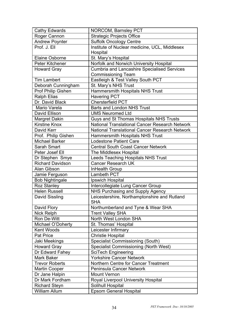| <b>Cathy Edwards</b>    | NORCOM, Barnsley PCT                                       |
|-------------------------|------------------------------------------------------------|
| Roger Cannon            | <b>Strategic Projects Office</b>                           |
| <b>Andrew Poynter</b>   | <b>Suffolk Oncology Centre</b>                             |
| Prof. J. Ell            | Institute of Nuclear medicine, UCL, Middlesex              |
|                         | Hospital                                                   |
| <b>Elaine Osborne</b>   | St. Mary's Hospital                                        |
| Peter Kitchener         | Norfolk and Norwich University Hospital                    |
| <b>Howard Gray</b>      | <b>Cumbria and Lancashire Specialised Services</b>         |
|                         | <b>Commissioning Team</b>                                  |
| <b>Tim Lambert</b>      | Eastleigh & Test Valley South PCT                          |
| Deborah Cunningham      | St. Mary's NHS Trust                                       |
| Prof Philip Gishen      | Hammersmith Hospitals NHS Trust                            |
| <b>Ralph Elias</b>      | <b>Havering PCT</b>                                        |
| Dr. David Black         | <b>Chersterfield PCT</b>                                   |
| Mario Varela            | <b>Barts and London NHS Trust</b>                          |
| David Ellison           | <b>UMS Neuromed Ltd</b>                                    |
| <b>Margret Dakin</b>    | Guys and St Thomas Hospitals NHS Trusts                    |
| <b>Kirstine Knox</b>    | <b>National Translational Cancer Research Network</b>      |
| David Kerr              | National Translational Cancer Research Network             |
| Prof. Philip Gishen     | Hammersmith Hospitals NHS Trust                            |
| <b>Michael Barker</b>   | <b>Lodestone Patient Care</b>                              |
| Sarah Smart             | <b>Central South Coast Cancer Network</b>                  |
| Peter Josef Ell         | The Middlesex Hospital                                     |
| Dr Stephen Smye         | <b>Leeds Teaching Hospitals NHS Trust</b>                  |
| <b>Richard Davidson</b> | <b>Cancer Research UK</b>                                  |
| Alan Gibson             | InHealth Group                                             |
| Jamie Ferguson          | Lambeth PCT                                                |
| <b>Bob Nightingale</b>  | Ipswich Hospital                                           |
| <b>Roz Stanley</b>      | Intercollegiate Lung Cancer Group                          |
| <b>Helen Russell</b>    | NHS Purchasing and Supply Agency                           |
| <b>David Sissling</b>   | Leicestershire, Northamptonshire and Rutland<br><b>SHA</b> |
| David Flory             | Northumberland and Tyne & Wear SHA                         |
| Nick Relph              | <b>Trent Valley SHA</b>                                    |
| Ron De-Witt             | North West London SHA                                      |
| Michael O'Doherty       | St. Thomas' Hospital                                       |
| Kent Woods              | Leicester Infirmary                                        |
| Pat Price               | <b>Christie Hospital</b>                                   |
| Jaki Meekings           | <b>Specialist Commissioning (South)</b>                    |
| <b>Howard Gray</b>      | <b>Specialist Commissioning (North West)</b>               |
| Dr Edward Fahey         | <b>SciTech Engineering</b>                                 |
| Mark Baker              | <b>Yorkshire Cancer Network</b>                            |
| <b>Trevor Roberts</b>   | Northern Centre for Cancer Treatment                       |
| Martin Cooper           | Peninsula Cancer Network                                   |
| Dr Jane Halpin          | <b>Mount Vernon</b>                                        |
| Dr Mark Fordham         | Royal Liverpool University Hospital                        |
| <b>Richard Steyn</b>    | Solihull Hospital                                          |
| <b>William Allum</b>    | <b>Epsom General Hospital</b>                              |
|                         |                                                            |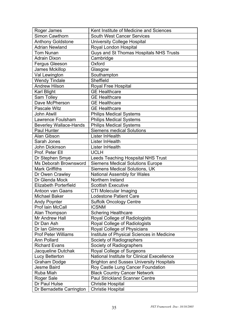| Roger James                   | Kent Institute of Medicine and Sciences         |
|-------------------------------|-------------------------------------------------|
| Simon Cawthorn                | <b>South West Cancer Services</b>               |
| <b>Anthony Goldstone</b>      | <b>University College Hospital</b>              |
| <b>Adrian Newland</b>         | Royal London Hospital                           |
| <b>Tom Nunan</b>              | Guys and St Thomas Hospitals NHS Trusts         |
| <b>Adrain Dixon</b>           | Cambridge                                       |
| Fergus Gleeson                | Oxford                                          |
| James Mckillop                | Glasgow                                         |
| Val Lewington                 | Southampton                                     |
| <b>Wendy Tindale</b>          | Sheffield                                       |
| <b>Andrew Hilson</b>          | Royal Free Hospital                             |
| <b>Karl Blight</b>            | <b>GE Healthcare</b>                            |
| Sam Tolley                    | <b>GE Healthcare</b>                            |
| Dave McPherson                | <b>GE Healthcare</b>                            |
| Pascale Witz                  | <b>GE Healthcare</b>                            |
| <b>John Atwill</b>            | <b>Philips Medical Systems</b>                  |
| Lawrence Foulsham             | <b>Philips Medical Systems</b>                  |
| <b>Beverley Wallace-Hands</b> | <b>Philips Medical Systems</b>                  |
| Paul Hunter                   | <b>Siemens medical Solutions</b>                |
| Alan Gibson                   | Lister InHealth                                 |
| Sarah Jones                   | Lister InHealth                                 |
| John Dickinson                | Lister InHealth                                 |
| Prof. Peter Ell               | <b>UCLH</b>                                     |
| Dr Stephen Smye               | <b>Leeds Teaching Hospsital NHS Trust</b>       |
| Ms Deborah Brownsword         | <b>Siemens Medical Solutions Europe</b>         |
| <b>Mark Griffiths</b>         | <b>Siemens Medical Solutions, UK</b>            |
| Dr Owen Crawley               | <b>National Assembly for Wales</b>              |
| Dr Glenda Mock                | Northern Ireland                                |
| <b>Elizabeth Porterfield</b>  | <b>Scottish Executive</b>                       |
| Antoon van Gaans              | CTI Molecular Imaging                           |
| <b>Michael Baker</b>          | <b>Lodestone Patient Care</b>                   |
| <b>Andy Poynter</b>           | <b>Suffolk Oncology Centre</b>                  |
| Prof Iain McCall              | <b>ICSNM</b>                                    |
| Alan Thompson                 | <b>Schering Healthcare</b>                      |
| Mr Andrew Hall                | Royal College of Radiologists                   |
| Dr Dan Ash                    | Royal College of Radiologists                   |
| Dr Ian Gilmore                | Royal College of Physicians                     |
| <b>Prof Peter Williams</b>    | Institute of Physical Sciences in Medicine      |
| Ann Pollard                   | Society of Radiographers                        |
| <b>Richard Evans</b>          | Society of Radiographers                        |
| Jacqueline Dutchak            | Royal College of Surgeons                       |
| Lucy Betterton                | National Institute for Clinical Execellence     |
| <b>Graham Dodge</b>           | <b>Brighton and Sussex University Hospitals</b> |
| Jesme Baird                   | Roy Castle Lung Cancer Foundation               |
| Ruba Miah                     | <b>Black Country Cancer Network</b>             |
| Roger Sale                    | <b>Paul Strickland Scanner Centre</b>           |
| Dr Paul Hulse                 | <b>Christie Hospital</b>                        |
| Dr Bernadette Carrington      | <b>Christie Hospital</b>                        |